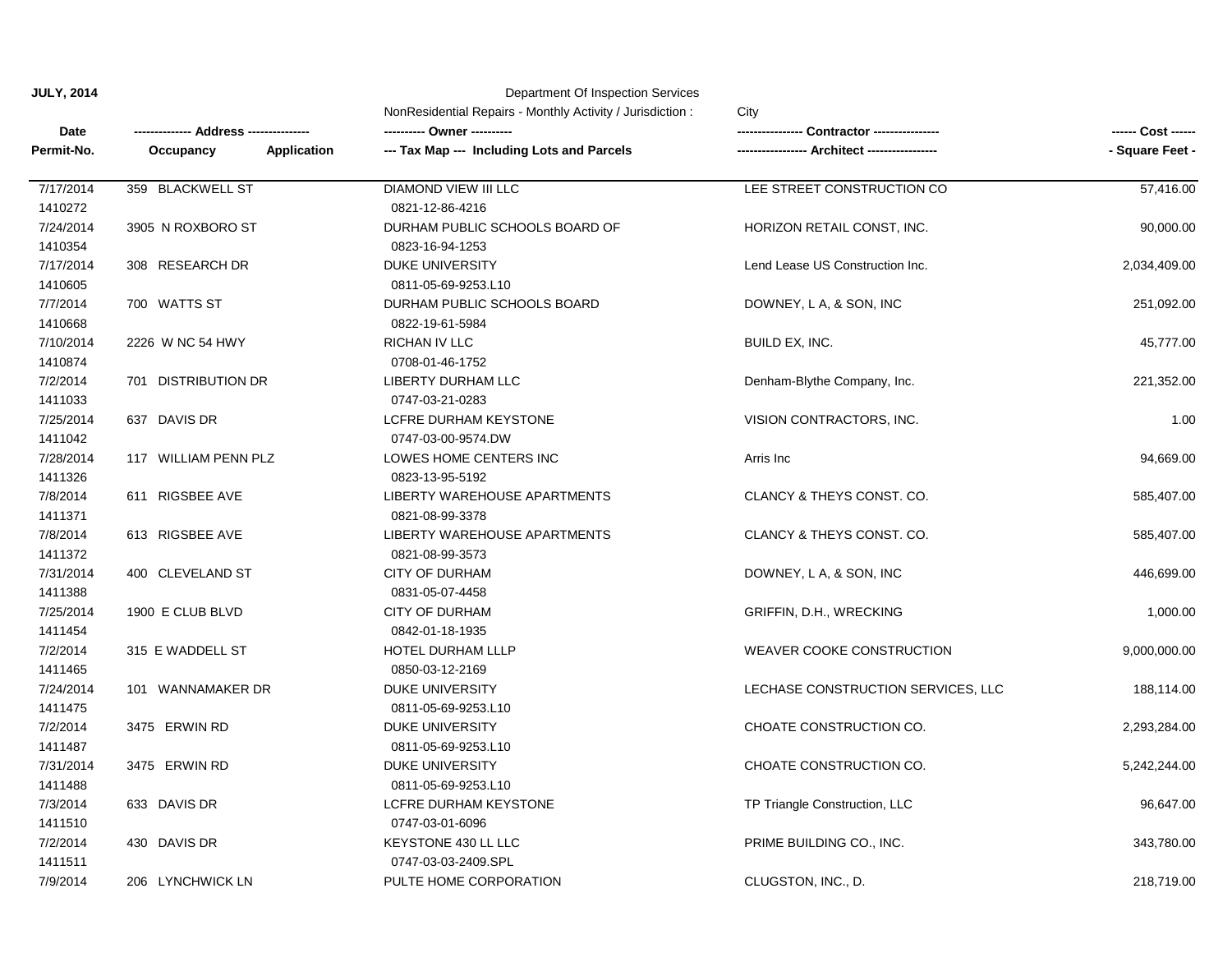| Date<br>Permit-No. |                                 | NonResidential Repairs - Monthly Activity / Jurisdiction: | City<br><b>Contractor --------</b> | ------ Cost ------<br>- Square Feet - |
|--------------------|---------------------------------|-----------------------------------------------------------|------------------------------------|---------------------------------------|
|                    | Address ---                     |                                                           |                                    |                                       |
|                    | <b>Application</b><br>Occupancy | --- Tax Map --- Including Lots and Parcels                |                                    |                                       |
| 7/17/2014          | 359 BLACKWELL ST                | DIAMOND VIEW III LLC                                      | LEE STREET CONSTRUCTION CO         | 57,416.00                             |
| 1410272            |                                 | 0821-12-86-4216                                           |                                    |                                       |
| 7/24/2014          | 3905 N ROXBORO ST               | DURHAM PUBLIC SCHOOLS BOARD OF                            | HORIZON RETAIL CONST, INC.         | 90,000.00                             |
| 1410354            |                                 | 0823-16-94-1253                                           |                                    |                                       |
| 7/17/2014          | 308 RESEARCH DR                 | <b>DUKE UNIVERSITY</b>                                    | Lend Lease US Construction Inc.    | 2,034,409.00                          |
| 1410605            |                                 | 0811-05-69-9253.L10                                       |                                    |                                       |
| 7/7/2014           | 700 WATTS ST                    | DURHAM PUBLIC SCHOOLS BOARD                               | DOWNEY, L A, & SON, INC            | 251,092.00                            |
| 1410668            |                                 | 0822-19-61-5984                                           |                                    |                                       |
| 7/10/2014          | 2226 W NC 54 HWY                | RICHAN IV LLC                                             | BUILD EX, INC.                     | 45,777.00                             |
| 1410874            |                                 | 0708-01-46-1752                                           |                                    |                                       |
| 7/2/2014           | 701 DISTRIBUTION DR             | LIBERTY DURHAM LLC                                        | Denham-Blythe Company, Inc.        | 221,352.00                            |
| 1411033            |                                 | 0747-03-21-0283                                           |                                    |                                       |
| 7/25/2014          | 637 DAVIS DR                    | LCFRE DURHAM KEYSTONE                                     | VISION CONTRACTORS, INC.           | 1.00                                  |
| 1411042            |                                 | 0747-03-00-9574.DW                                        |                                    |                                       |
| 7/28/2014          | 117 WILLIAM PENN PLZ            | LOWES HOME CENTERS INC                                    | Arris Inc                          | 94,669.00                             |
| 1411326            |                                 | 0823-13-95-5192                                           |                                    |                                       |
| 7/8/2014           | 611 RIGSBEE AVE                 | LIBERTY WAREHOUSE APARTMENTS                              | CLANCY & THEYS CONST. CO.          | 585,407.00                            |
| 1411371            |                                 | 0821-08-99-3378                                           |                                    |                                       |
| 7/8/2014           | 613 RIGSBEE AVE                 | LIBERTY WAREHOUSE APARTMENTS                              | CLANCY & THEYS CONST. CO.          | 585,407.00                            |
| 1411372            |                                 | 0821-08-99-3573                                           |                                    |                                       |
| 7/31/2014          | 400 CLEVELAND ST                | <b>CITY OF DURHAM</b>                                     | DOWNEY, L A, & SON, INC            | 446,699.00                            |
| 1411388            |                                 | 0831-05-07-4458                                           |                                    |                                       |
| 7/25/2014          | 1900 E CLUB BLVD                | <b>CITY OF DURHAM</b>                                     | GRIFFIN, D.H., WRECKING            | 1,000.00                              |
| 1411454            |                                 | 0842-01-18-1935                                           |                                    |                                       |
| 7/2/2014           | 315 E WADDELL ST                | HOTEL DURHAM LLLP                                         | <b>WEAVER COOKE CONSTRUCTION</b>   | 9,000,000.00                          |
| 1411465            |                                 | 0850-03-12-2169                                           |                                    |                                       |
| 7/24/2014          | 101 WANNAMAKER DR               | <b>DUKE UNIVERSITY</b>                                    | LECHASE CONSTRUCTION SERVICES, LLC | 188,114.00                            |
| 1411475            |                                 | 0811-05-69-9253.L10                                       |                                    |                                       |
| 7/2/2014           | 3475 ERWIN RD                   | <b>DUKE UNIVERSITY</b>                                    | CHOATE CONSTRUCTION CO.            | 2,293,284.00                          |
| 1411487            |                                 | 0811-05-69-9253.L10                                       |                                    |                                       |
| 7/31/2014          | 3475 ERWIN RD                   | DUKE UNIVERSITY                                           | CHOATE CONSTRUCTION CO.            | 5,242,244.00                          |
| 1411488            |                                 | 0811-05-69-9253.L10                                       |                                    |                                       |
| 7/3/2014           | 633 DAVIS DR                    | LCFRE DURHAM KEYSTONE                                     | TP Triangle Construction, LLC      | 96,647.00                             |
| 1411510            |                                 | 0747-03-01-6096                                           |                                    |                                       |
| 7/2/2014           | 430 DAVIS DR                    | KEYSTONE 430 LL LLC                                       | PRIME BUILDING CO., INC.           | 343,780.00                            |
| 1411511            |                                 | 0747-03-03-2409.SPL                                       |                                    |                                       |
| 7/9/2014           | 206 LYNCHWICK LN                | PULTE HOME CORPORATION                                    | CLUGSTON, INC., D.                 | 218,719.00                            |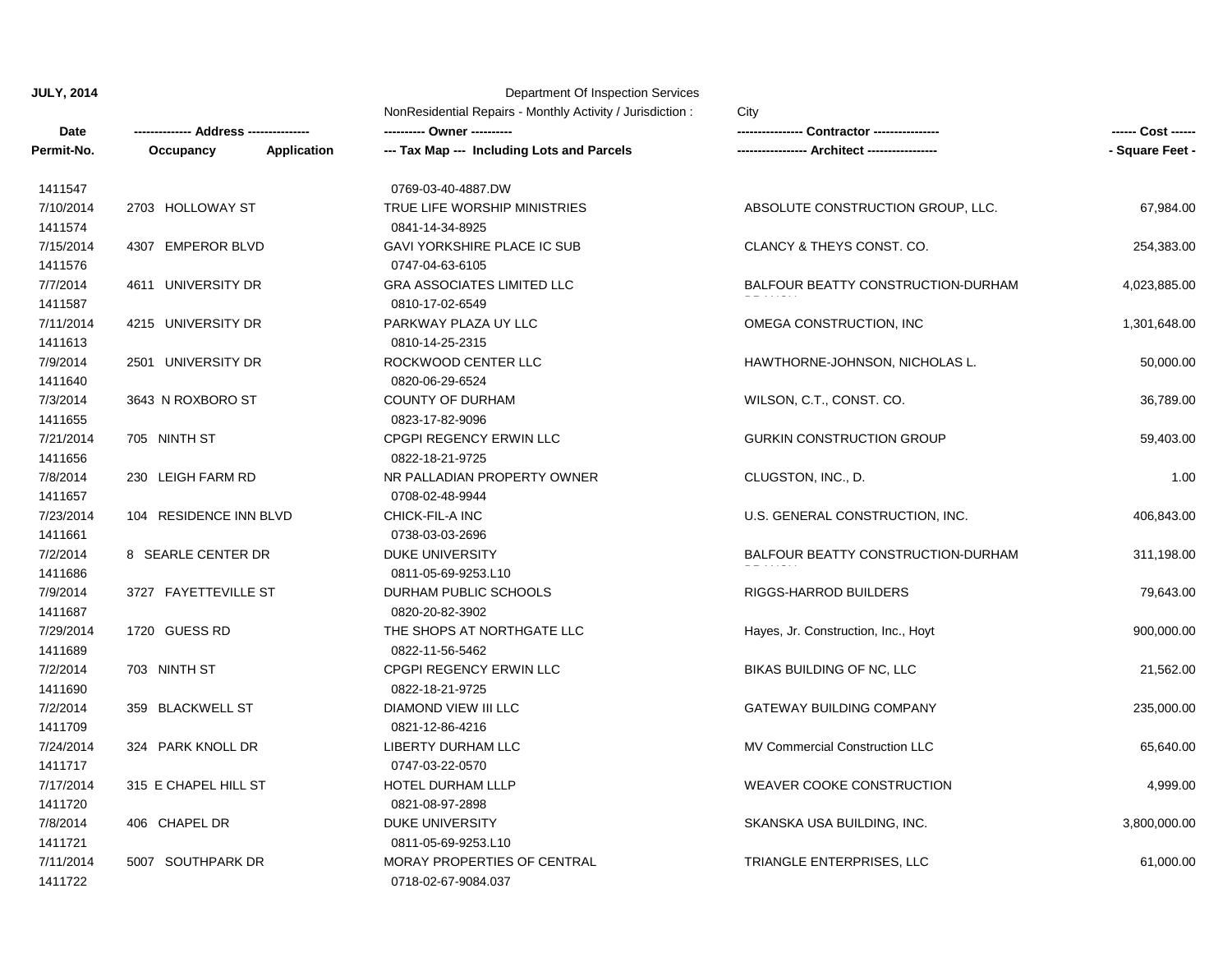|                      |                           |                    | NonResidential Repairs - Monthly Activity / Jurisdiction:<br>City |                                       |                 |  |
|----------------------|---------------------------|--------------------|-------------------------------------------------------------------|---------------------------------------|-----------------|--|
| Date                 | <b>Address ----------</b> |                    |                                                                   | Contractor ----------------           |                 |  |
| Permit-No.           | Occupancy                 | <b>Application</b> | --- Tax Map --- Including Lots and Parcels                        | ---- Architect ------------           | - Square Feet - |  |
| 1411547              |                           |                    | 0769-03-40-4887.DW                                                |                                       |                 |  |
| 7/10/2014<br>1411574 | 2703 HOLLOWAY ST          |                    | TRUE LIFE WORSHIP MINISTRIES<br>0841-14-34-8925                   | ABSOLUTE CONSTRUCTION GROUP, LLC.     | 67,984.00       |  |
| 7/15/2014<br>1411576 | 4307 EMPEROR BLVD         |                    | <b>GAVI YORKSHIRE PLACE IC SUB</b><br>0747-04-63-6105             | CLANCY & THEYS CONST. CO.             | 254,383.00      |  |
| 7/7/2014<br>1411587  | 4611 UNIVERSITY DR        |                    | <b>GRA ASSOCIATES LIMITED LLC</b><br>0810-17-02-6549              | BALFOUR BEATTY CONSTRUCTION-DURHAM    | 4,023,885.00    |  |
| 7/11/2014<br>1411613 | 4215 UNIVERSITY DR        |                    | PARKWAY PLAZA UY LLC<br>0810-14-25-2315                           | OMEGA CONSTRUCTION, INC               | 1,301,648.00    |  |
| 7/9/2014<br>1411640  | 2501 UNIVERSITY DR        |                    | ROCKWOOD CENTER LLC<br>0820-06-29-6524                            | HAWTHORNE-JOHNSON, NICHOLAS L.        | 50,000.00       |  |
| 7/3/2014<br>1411655  | 3643 N ROXBORO ST         |                    | <b>COUNTY OF DURHAM</b><br>0823-17-82-9096                        | WILSON, C.T., CONST. CO.              | 36,789.00       |  |
| 7/21/2014<br>1411656 | 705 NINTH ST              |                    | CPGPI REGENCY ERWIN LLC<br>0822-18-21-9725                        | <b>GURKIN CONSTRUCTION GROUP</b>      | 59,403.00       |  |
| 7/8/2014<br>1411657  | 230 LEIGH FARM RD         |                    | NR PALLADIAN PROPERTY OWNER<br>0708-02-48-9944                    | CLUGSTON, INC., D.                    | 1.00            |  |
| 7/23/2014<br>1411661 | 104 RESIDENCE INN BLVD    |                    | CHICK-FIL-A INC<br>0738-03-03-2696                                | U.S. GENERAL CONSTRUCTION, INC.       | 406,843.00      |  |
| 7/2/2014<br>1411686  | 8 SEARLE CENTER DR        |                    | <b>DUKE UNIVERSITY</b><br>0811-05-69-9253.L10                     | BALFOUR BEATTY CONSTRUCTION-DURHAM    | 311,198.00      |  |
| 7/9/2014<br>1411687  | 3727 FAYETTEVILLE ST      |                    | DURHAM PUBLIC SCHOOLS<br>0820-20-82-3902                          | <b>RIGGS-HARROD BUILDERS</b>          | 79,643.00       |  |
| 7/29/2014<br>1411689 | 1720 GUESS RD             |                    | THE SHOPS AT NORTHGATE LLC<br>0822-11-56-5462                     | Hayes, Jr. Construction, Inc., Hoyt   | 900,000.00      |  |
| 7/2/2014<br>1411690  | 703 NINTH ST              |                    | CPGPI REGENCY ERWIN LLC<br>0822-18-21-9725                        | BIKAS BUILDING OF NC, LLC             | 21,562.00       |  |
| 7/2/2014<br>1411709  | 359 BLACKWELL ST          |                    | <b>DIAMOND VIEW III LLC</b><br>0821-12-86-4216                    | <b>GATEWAY BUILDING COMPANY</b>       | 235,000.00      |  |
| 7/24/2014<br>1411717 | 324 PARK KNOLL DR         |                    | LIBERTY DURHAM LLC<br>0747-03-22-0570                             | <b>MV Commercial Construction LLC</b> | 65,640.00       |  |
| 7/17/2014<br>1411720 | 315 E CHAPEL HILL ST      |                    | HOTEL DURHAM LLLP<br>0821-08-97-2898                              | WEAVER COOKE CONSTRUCTION             | 4,999.00        |  |
| 7/8/2014<br>1411721  | 406 CHAPEL DR             |                    | <b>DUKE UNIVERSITY</b><br>0811-05-69-9253.L10                     | SKANSKA USA BUILDING, INC.            | 3,800,000.00    |  |
| 7/11/2014<br>1411722 | 5007 SOUTHPARK DR         |                    | MORAY PROPERTIES OF CENTRAL<br>0718-02-67-9084.037                | TRIANGLE ENTERPRISES, LLC             | 61,000.00       |  |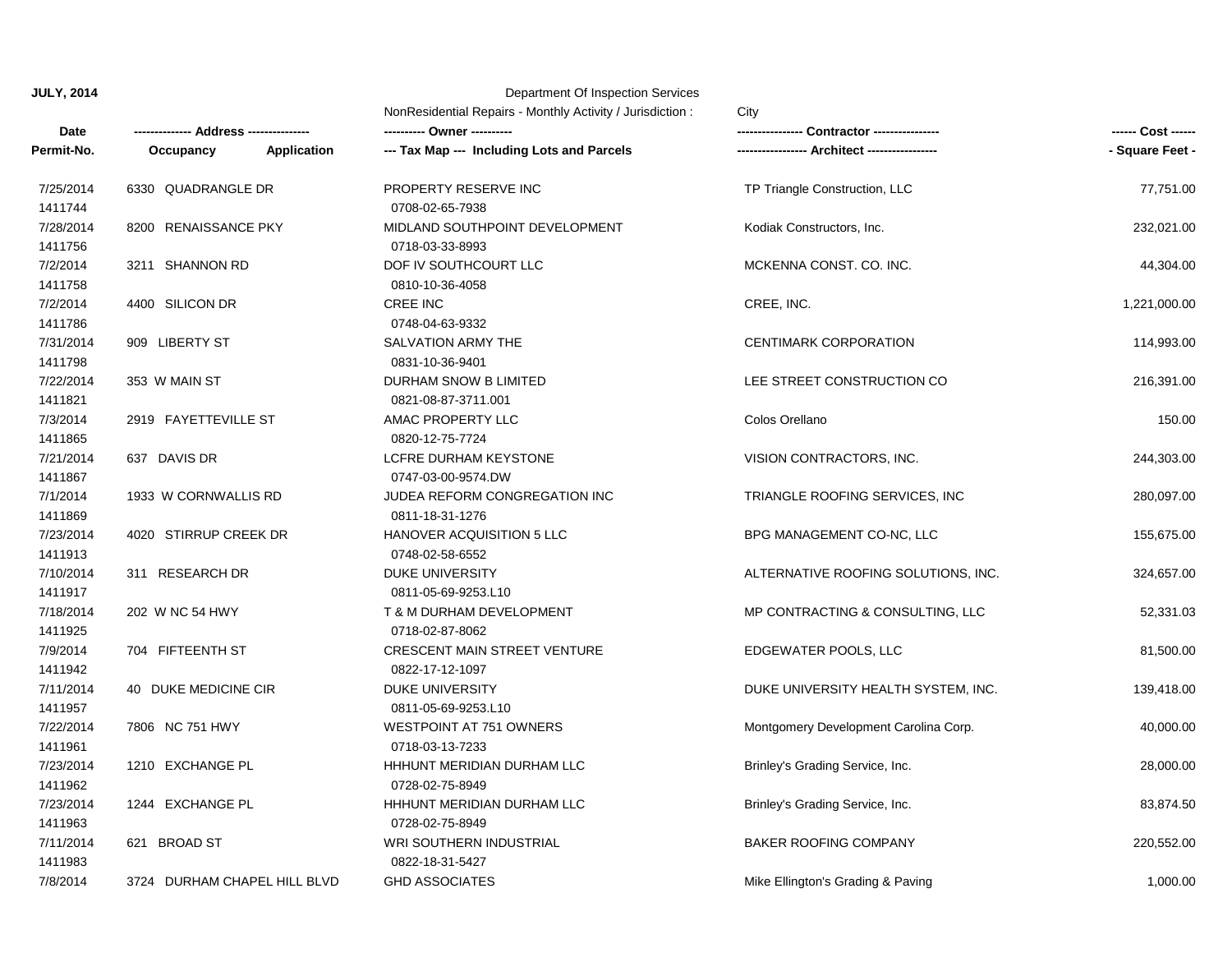| Date                 | Address -----                |                    | NonResidential Repairs - Monthly Activity / Jurisdiction: | City                                  |                 |
|----------------------|------------------------------|--------------------|-----------------------------------------------------------|---------------------------------------|-----------------|
|                      |                              |                    |                                                           | <b>Contractor ---------</b>           |                 |
| Permit-No.           | Occupancy                    | <b>Application</b> | --- Tax Map --- Including Lots and Parcels                |                                       | - Square Feet - |
| 7/25/2014<br>1411744 | 6330 QUADRANGLE DR           |                    | PROPERTY RESERVE INC<br>0708-02-65-7938                   | TP Triangle Construction, LLC         | 77,751.00       |
| 7/28/2014<br>1411756 | 8200 RENAISSANCE PKY         |                    | MIDLAND SOUTHPOINT DEVELOPMENT<br>0718-03-33-8993         | Kodiak Constructors, Inc.             | 232,021.00      |
| 7/2/2014<br>1411758  | 3211 SHANNON RD              |                    | DOF IV SOUTHCOURT LLC<br>0810-10-36-4058                  | MCKENNA CONST, CO. INC.               | 44,304.00       |
| 7/2/2014<br>1411786  | 4400 SILICON DR              |                    | <b>CREE INC</b><br>0748-04-63-9332                        | CREE, INC.                            | 1,221,000.00    |
| 7/31/2014<br>1411798 | 909 LIBERTY ST               |                    | SALVATION ARMY THE<br>0831-10-36-9401                     | <b>CENTIMARK CORPORATION</b>          | 114,993.00      |
| 7/22/2014<br>1411821 | 353 W MAIN ST                |                    | DURHAM SNOW B LIMITED<br>0821-08-87-3711.001              | LEE STREET CONSTRUCTION CO            | 216,391.00      |
| 7/3/2014<br>1411865  | 2919 FAYETTEVILLE ST         |                    | AMAC PROPERTY LLC<br>0820-12-75-7724                      | Colos Orellano                        | 150.00          |
| 7/21/2014<br>1411867 | 637 DAVIS DR                 |                    | LCFRE DURHAM KEYSTONE<br>0747-03-00-9574.DW               | VISION CONTRACTORS, INC.              | 244,303.00      |
| 7/1/2014<br>1411869  | 1933 W CORNWALLIS RD         |                    | JUDEA REFORM CONGREGATION INC<br>0811-18-31-1276          | TRIANGLE ROOFING SERVICES, INC.       | 280,097.00      |
| 7/23/2014<br>1411913 | 4020 STIRRUP CREEK DR        |                    | HANOVER ACQUISITION 5 LLC<br>0748-02-58-6552              | BPG MANAGEMENT CO-NC, LLC             | 155,675.00      |
| 7/10/2014<br>1411917 | 311 RESEARCH DR              |                    | <b>DUKE UNIVERSITY</b><br>0811-05-69-9253.L10             | ALTERNATIVE ROOFING SOLUTIONS, INC.   | 324,657.00      |
| 7/18/2014<br>1411925 | 202 W NC 54 HWY              |                    | T & M DURHAM DEVELOPMENT<br>0718-02-87-8062               | MP CONTRACTING & CONSULTING, LLC      | 52,331.03       |
| 7/9/2014<br>1411942  | 704 FIFTEENTH ST             |                    | <b>CRESCENT MAIN STREET VENTURE</b><br>0822-17-12-1097    | EDGEWATER POOLS, LLC                  | 81,500.00       |
| 7/11/2014<br>1411957 | 40 DUKE MEDICINE CIR         |                    | <b>DUKE UNIVERSITY</b><br>0811-05-69-9253.L10             | DUKE UNIVERSITY HEALTH SYSTEM, INC.   | 139,418.00      |
| 7/22/2014<br>1411961 | 7806 NC 751 HWY              |                    | <b>WESTPOINT AT 751 OWNERS</b><br>0718-03-13-7233         | Montgomery Development Carolina Corp. | 40,000.00       |
| 7/23/2014<br>1411962 | 1210 EXCHANGE PL             |                    | HHHUNT MERIDIAN DURHAM LLC<br>0728-02-75-8949             | Brinley's Grading Service, Inc.       | 28,000.00       |
| 7/23/2014<br>1411963 | 1244 EXCHANGE PL             |                    | HHHUNT MERIDIAN DURHAM LLC<br>0728-02-75-8949             | Brinley's Grading Service, Inc.       | 83,874.50       |
| 7/11/2014<br>1411983 | 621 BROAD ST                 |                    | WRI SOUTHERN INDUSTRIAL<br>0822-18-31-5427                | <b>BAKER ROOFING COMPANY</b>          | 220,552.00      |
| 7/8/2014             | 3724 DURHAM CHAPEL HILL BLVD |                    | <b>GHD ASSOCIATES</b>                                     | Mike Ellington's Grading & Paving     | 1,000.00        |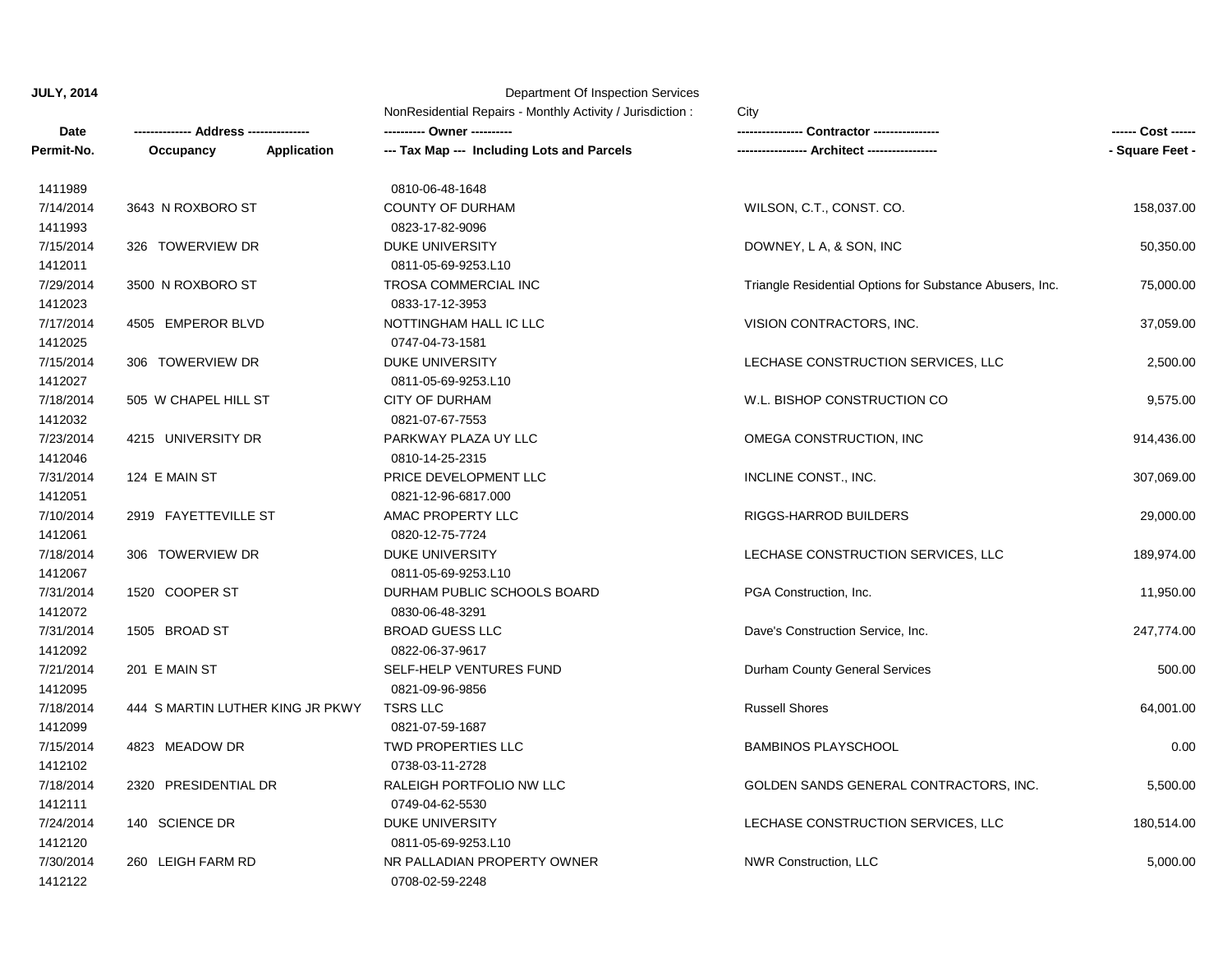|             |                                  | NonResidential Repairs - Monthly Activity / Jurisdiction : | City                                                     |                 |
|-------------|----------------------------------|------------------------------------------------------------|----------------------------------------------------------|-----------------|
| <b>Date</b> | ---- Address ---------           |                                                            | Contractor -----------                                   |                 |
| Permit-No.  | Occupancy<br><b>Application</b>  | --- Tax Map --- Including Lots and Parcels                 |                                                          | - Square Feet - |
| 1411989     |                                  | 0810-06-48-1648                                            |                                                          |                 |
| 7/14/2014   | 3643 N ROXBORO ST                | <b>COUNTY OF DURHAM</b>                                    | WILSON, C.T., CONST. CO.                                 | 158,037.00      |
| 1411993     |                                  | 0823-17-82-9096                                            |                                                          |                 |
| 7/15/2014   | 326 TOWERVIEW DR                 | <b>DUKE UNIVERSITY</b>                                     | DOWNEY, L A, & SON, INC                                  | 50,350.00       |
| 1412011     |                                  | 0811-05-69-9253.L10                                        |                                                          |                 |
| 7/29/2014   | 3500 N ROXBORO ST                | TROSA COMMERCIAL INC                                       | Triangle Residential Options for Substance Abusers, Inc. | 75,000.00       |
| 1412023     |                                  | 0833-17-12-3953                                            |                                                          |                 |
| 7/17/2014   | 4505 EMPEROR BLVD                | NOTTINGHAM HALL IC LLC                                     | VISION CONTRACTORS, INC.                                 | 37,059.00       |
| 1412025     |                                  | 0747-04-73-1581                                            |                                                          |                 |
| 7/15/2014   | 306 TOWERVIEW DR                 | <b>DUKE UNIVERSITY</b>                                     | LECHASE CONSTRUCTION SERVICES, LLC                       | 2,500.00        |
| 1412027     |                                  | 0811-05-69-9253.L10                                        |                                                          |                 |
| 7/18/2014   | 505 W CHAPEL HILL ST             | <b>CITY OF DURHAM</b>                                      | W.L. BISHOP CONSTRUCTION CO                              | 9,575.00        |
| 1412032     |                                  | 0821-07-67-7553                                            |                                                          |                 |
| 7/23/2014   | 4215 UNIVERSITY DR               | PARKWAY PLAZA UY LLC                                       | OMEGA CONSTRUCTION, INC                                  | 914,436.00      |
| 1412046     |                                  | 0810-14-25-2315                                            |                                                          |                 |
| 7/31/2014   | 124 E MAIN ST                    | PRICE DEVELOPMENT LLC                                      | INCLINE CONST., INC.                                     | 307,069.00      |
| 1412051     |                                  | 0821-12-96-6817.000                                        |                                                          |                 |
| 7/10/2014   | 2919 FAYETTEVILLE ST             | AMAC PROPERTY LLC                                          | <b>RIGGS-HARROD BUILDERS</b>                             | 29,000.00       |
| 1412061     |                                  | 0820-12-75-7724                                            |                                                          |                 |
| 7/18/2014   | 306 TOWERVIEW DR                 | <b>DUKE UNIVERSITY</b>                                     | LECHASE CONSTRUCTION SERVICES, LLC                       | 189,974.00      |
| 1412067     |                                  | 0811-05-69-9253.L10                                        |                                                          |                 |
| 7/31/2014   | 1520 COOPER ST                   | DURHAM PUBLIC SCHOOLS BOARD                                | PGA Construction, Inc.                                   | 11,950.00       |
| 1412072     |                                  | 0830-06-48-3291                                            |                                                          |                 |
| 7/31/2014   | 1505 BROAD ST                    | <b>BROAD GUESS LLC</b>                                     | Dave's Construction Service, Inc.                        | 247,774.00      |
| 1412092     |                                  | 0822-06-37-9617                                            |                                                          |                 |
| 7/21/2014   | 201 E MAIN ST                    | SELF-HELP VENTURES FUND                                    | Durham County General Services                           | 500.00          |
| 1412095     |                                  | 0821-09-96-9856                                            |                                                          |                 |
| 7/18/2014   | 444 S MARTIN LUTHER KING JR PKWY | <b>TSRS LLC</b>                                            | <b>Russell Shores</b>                                    | 64,001.00       |
| 1412099     |                                  | 0821-07-59-1687                                            |                                                          |                 |
| 7/15/2014   | 4823 MEADOW DR                   | <b>TWD PROPERTIES LLC</b>                                  | <b>BAMBINOS PLAYSCHOOL</b>                               | 0.00            |
| 1412102     |                                  | 0738-03-11-2728                                            |                                                          |                 |
| 7/18/2014   | 2320 PRESIDENTIAL DR             | RALEIGH PORTFOLIO NW LLC                                   | GOLDEN SANDS GENERAL CONTRACTORS, INC.                   | 5,500.00        |
| 1412111     |                                  | 0749-04-62-5530                                            |                                                          |                 |
| 7/24/2014   | 140 SCIENCE DR                   | DUKE UNIVERSITY                                            | LECHASE CONSTRUCTION SERVICES, LLC                       | 180,514.00      |
| 1412120     |                                  | 0811-05-69-9253.L10                                        |                                                          |                 |
| 7/30/2014   | 260 LEIGH FARM RD                | NR PALLADIAN PROPERTY OWNER                                | NWR Construction, LLC                                    | 5,000.00        |
| 1412122     |                                  | 0708-02-59-2248                                            |                                                          |                 |